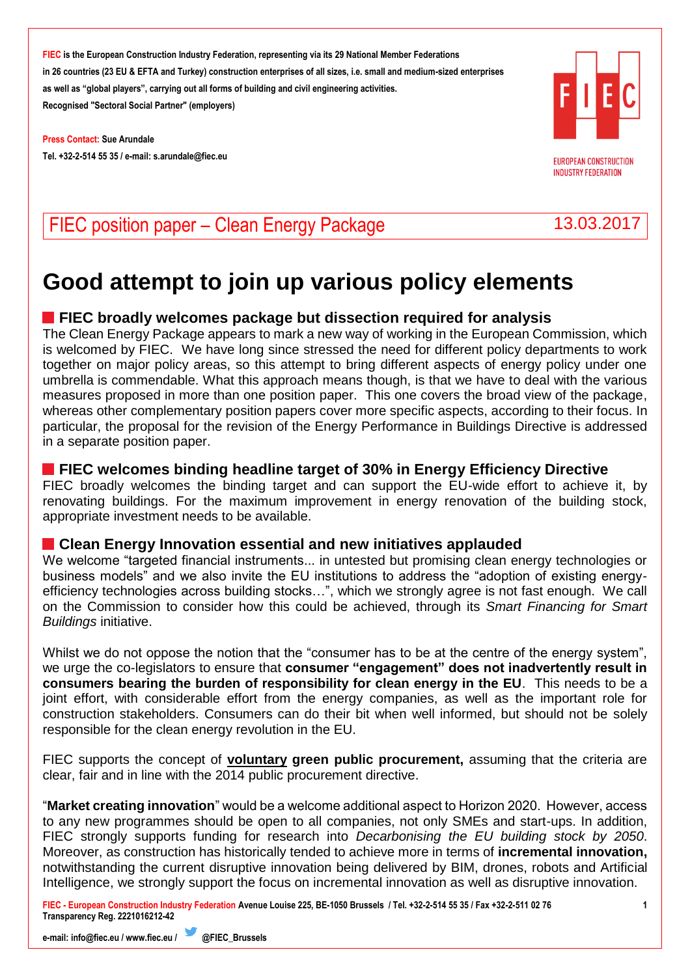**Press Contact: Sue Arundale Tel. +32-2-514 55 35 / e-mail[: s.arundale@fiec.eu](mailto:s.arundale@fiec.eu)**



**EUROPEAN CONSTRUCTION INDUSTRY FEDERATION** 

# FIEC position paper – Clean Energy Package 13.03.2017

# **Good attempt to join up various policy elements**

# **FIEC broadly welcomes package but dissection required for analysis**

The Clean Energy Package appears to mark a new way of working in the European Commission, which is welcomed by FIEC. We have long since stressed the need for different policy departments to work together on major policy areas, so this attempt to bring different aspects of energy policy under one umbrella is commendable. What this approach means though, is that we have to deal with the various measures proposed in more than one position paper. This one covers the broad view of the package, whereas other complementary position papers cover more specific aspects, according to their focus. In particular, the proposal for the revision of the Energy Performance in Buildings Directive is addressed in a separate position paper.

#### **FIEC welcomes binding headline target of 30% in Energy Efficiency Directive**

FIEC broadly welcomes the binding target and can support the EU-wide effort to achieve it, by renovating buildings. For the maximum improvement in energy renovation of the building stock, appropriate investment needs to be available.

#### **Clean Energy Innovation essential and new initiatives applauded**

We welcome "targeted financial instruments... in untested but promising clean energy technologies or business models" and we also invite the EU institutions to address the "adoption of existing energyefficiency technologies across building stocks…", which we strongly agree is not fast enough. We call on the Commission to consider how this could be achieved, through its *Smart Financing for Smart Buildings* initiative.

Whilst we do not oppose the notion that the "consumer has to be at the centre of the energy system", we urge the co-legislators to ensure that **consumer "engagement" does not inadvertently result in consumers bearing the burden of responsibility for clean energy in the EU**. This needs to be a joint effort, with considerable effort from the energy companies, as well as the important role for construction stakeholders. Consumers can do their bit when well informed, but should not be solely responsible for the clean energy revolution in the EU.

FIEC supports the concept of **voluntary green public procurement,** assuming that the criteria are clear, fair and in line with the 2014 public procurement directive.

"**Market creating innovation**" would be a welcome additional aspect to Horizon 2020. However, access to any new programmes should be open to all companies, not only SMEs and start-ups. In addition, FIEC strongly supports funding for research into *Decarbonising the EU building stock by 2050*. Moreover, as construction has historically tended to achieve more in terms of **incremental innovation,**  notwithstanding the current disruptive innovation being delivered by BIM, drones, robots and Artificial Intelligence, we strongly support the focus on incremental innovation as well as disruptive innovation.

**FIEC - European Construction Industry Federation Avenue Louise 225, BE-1050 Brussels / Tel. +32-2-514 55 35 / Fax +32-2-511 02 76 Transparency Reg. 2221016212-42**

**e-mail[: info@fiec.eu](mailto:info@fiec.eu) [/ www.fiec.eu](http://www.fiec.eu/) / @FIEC\_Brussels** 

**1**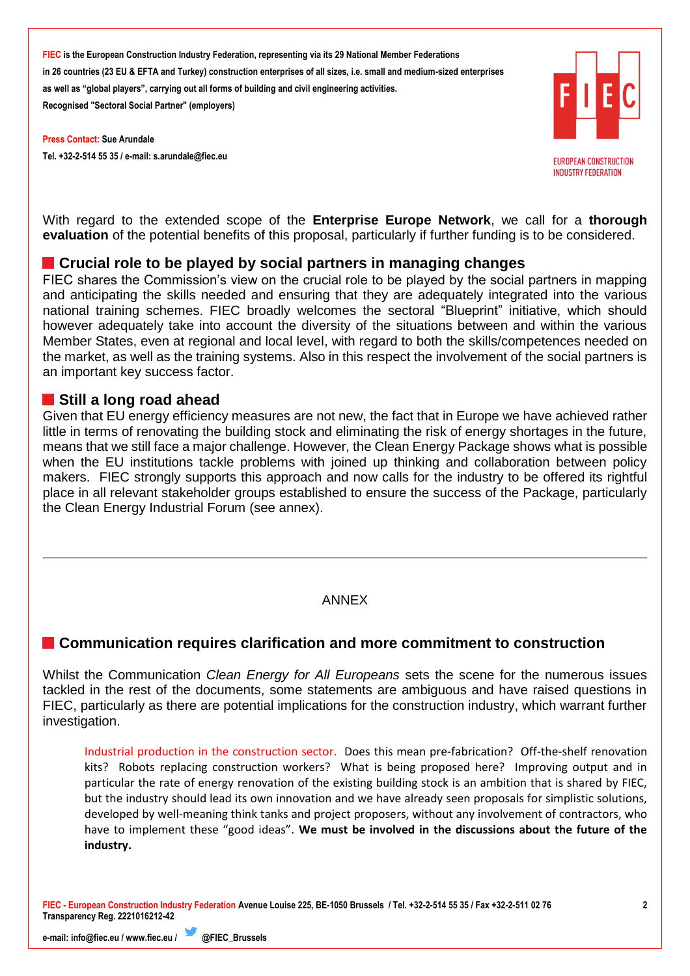**Press Contact: Sue Arundale Tel. +32-2-514 55 35 / e-mail[: s.arundale@fiec.eu](mailto:s.arundale@fiec.eu)**



**EUROPEAN CONSTRUCTION INDUSTRY FEDERATION** 

With regard to the extended scope of the **Enterprise Europe Network**, we call for a **thorough evaluation** of the potential benefits of this proposal, particularly if further funding is to be considered.

#### **Crucial role to be played by social partners in managing changes**

FIEC shares the Commission's view on the crucial role to be played by the social partners in mapping and anticipating the skills needed and ensuring that they are adequately integrated into the various national training schemes. FIEC broadly welcomes the sectoral "Blueprint" initiative, which should however adequately take into account the diversity of the situations between and within the various Member States, even at regional and local level, with regard to both the skills/competences needed on the market, as well as the training systems. Also in this respect the involvement of the social partners is an important key success factor.

#### **Still a long road ahead**

Given that EU energy efficiency measures are not new, the fact that in Europe we have achieved rather little in terms of renovating the building stock and eliminating the risk of energy shortages in the future, means that we still face a major challenge. However, the Clean Energy Package shows what is possible when the EU institutions tackle problems with joined up thinking and collaboration between policy makers. FIEC strongly supports this approach and now calls for the industry to be offered its rightful place in all relevant stakeholder groups established to ensure the success of the Package, particularly the Clean Energy Industrial Forum (see annex).

#### ANNEX

# **Communication requires clarification and more commitment to construction**

Whilst the Communication *Clean Energy for All Europeans* sets the scene for the numerous issues tackled in the rest of the documents, some statements are ambiguous and have raised questions in FIEC, particularly as there are potential implications for the construction industry, which warrant further investigation.

Industrial production in the construction sector. Does this mean pre-fabrication? Off-the-shelf renovation kits? Robots replacing construction workers? What is being proposed here? Improving output and in particular the rate of energy renovation of the existing building stock is an ambition that is shared by FIEC, but the industry should lead its own innovation and we have already seen proposals for simplistic solutions, developed by well-meaning think tanks and project proposers, without any involvement of contractors, who have to implement these "good ideas". **We must be involved in the discussions about the future of the industry.**

**FIEC - European Construction Industry Federation Avenue Louise 225, BE-1050 Brussels / Tel. +32-2-514 55 35 / Fax +32-2-511 02 76 Transparency Reg. 2221016212-42**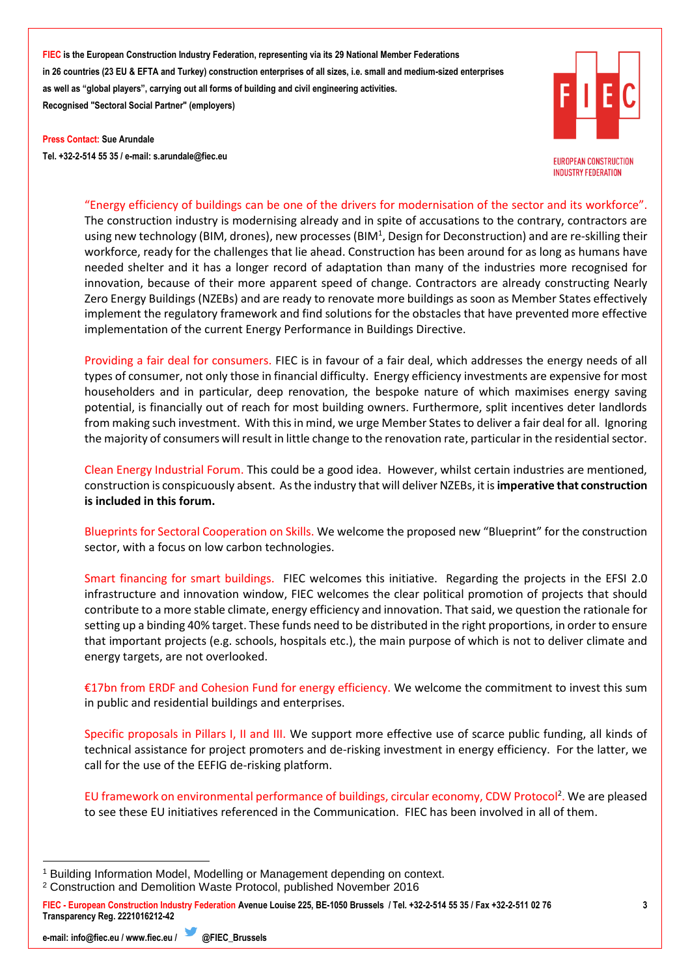**Press Contact: Sue Arundale Tel. +32-2-514 55 35 / e-mail[: s.arundale@fiec.eu](mailto:s.arundale@fiec.eu)**

**EUROPEAN CONSTRUCTION INDUSTRY FEDERATION** 

"Energy efficiency of buildings can be one of the drivers for modernisation of the sector and its workforce". The construction industry is modernising already and in spite of accusations to the contrary, contractors are using new technology (BIM, drones), new processes (BIM<sup>1</sup>, Design for Deconstruction) and are re-skilling their workforce, ready for the challenges that lie ahead. Construction has been around for as long as humans have needed shelter and it has a longer record of adaptation than many of the industries more recognised for innovation, because of their more apparent speed of change. Contractors are already constructing Nearly Zero Energy Buildings (NZEBs) and are ready to renovate more buildings as soon as Member States effectively implement the regulatory framework and find solutions for the obstacles that have prevented more effective implementation of the current Energy Performance in Buildings Directive.

Providing a fair deal for consumers. FIEC is in favour of a fair deal, which addresses the energy needs of all types of consumer, not only those in financial difficulty. Energy efficiency investments are expensive for most householders and in particular, deep renovation, the bespoke nature of which maximises energy saving potential, is financially out of reach for most building owners. Furthermore, split incentives deter landlords from making such investment. With this in mind, we urge Member States to deliver a fair deal for all. Ignoring the majority of consumers will result in little change to the renovation rate, particular in the residential sector.

Clean Energy Industrial Forum. This could be a good idea. However, whilst certain industries are mentioned, construction is conspicuously absent. As the industry that will deliver NZEBs, it is **imperative that construction is included in this forum.** 

Blueprints for Sectoral Cooperation on Skills. We welcome the proposed new "Blueprint" for the construction sector, with a focus on low carbon technologies.

Smart financing for smart buildings.FIEC welcomes this initiative. Regarding the projects in the EFSI 2.0 infrastructure and innovation window, FIEC welcomes the clear political promotion of projects that should contribute to a more stable climate, energy efficiency and innovation. That said, we question the rationale for setting up a binding 40% target. These funds need to be distributed in the right proportions, in order to ensure that important projects (e.g. schools, hospitals etc.), the main purpose of which is not to deliver climate and energy targets, are not overlooked.

€17bn from ERDF and Cohesion Fund for energy efficiency. We welcome the commitment to invest this sum in public and residential buildings and enterprises.

Specific proposals in Pillars I, II and III. We support more effective use of scarce public funding, all kinds of technical assistance for project promoters and de-risking investment in energy efficiency. For the latter, we call for the use of the EEFIG de-risking platform.

EU framework on environmental performance of buildings, circular economy, CDW Protocol<sup>2</sup>. We are pleased to see these EU initiatives referenced in the Communication. FIEC has been involved in all of them.

 <sup>1</sup> Building Information Model, Modelling or Management depending on context.

<sup>2</sup> Construction and Demolition Waste Protocol, published November 2016

**FIEC - European Construction Industry Federation Avenue Louise 225, BE-1050 Brussels / Tel. +32-2-514 55 35 / Fax +32-2-511 02 76 Transparency Reg. 2221016212-42**